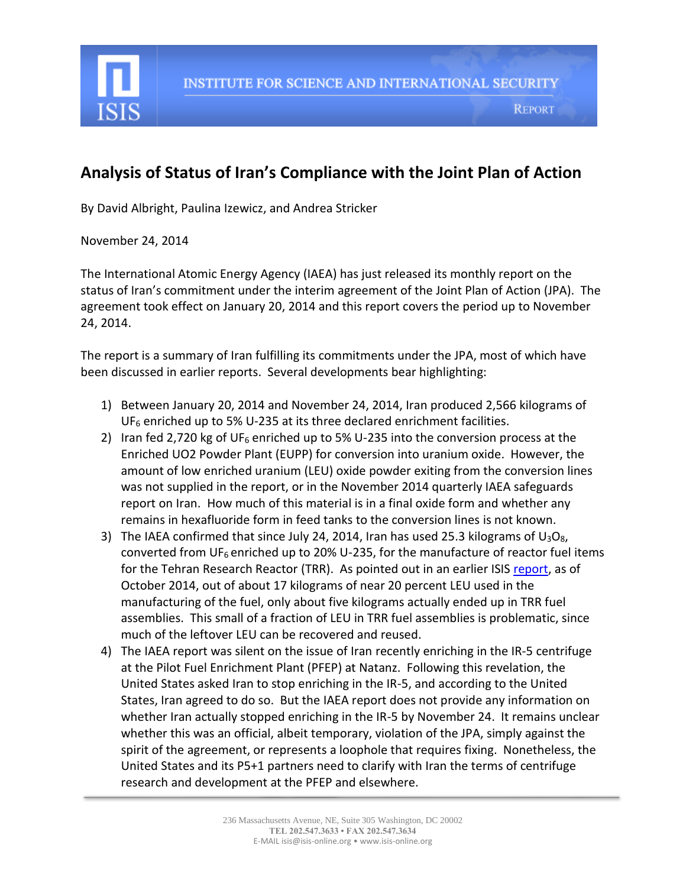

## **Analysis of Status of Iran's Compliance with the Joint Plan of Action**

By David Albright, Paulina Izewicz, and Andrea Stricker

November 24, 2014

The International Atomic Energy Agency (IAEA) has just released its monthly report on the status of Iran's commitment under the interim agreement of the Joint Plan of Action (JPA). The agreement took effect on January 20, 2014 and this report covers the period up to November 24, 2014.

The report is a summary of Iran fulfilling its commitments under the JPA, most of which have been discussed in earlier reports. Several developments bear highlighting:

- 1) Between January 20, 2014 and November 24, 2014, Iran produced 2,566 kilograms of UF<sub>6</sub> enriched up to 5% U-235 at its three declared enrichment facilities.
- 2) Iran fed 2,720 kg of UF<sub>6</sub> enriched up to 5% U-235 into the conversion process at the Enriched UO2 Powder Plant (EUPP) for conversion into uranium oxide. However, the amount of low enriched uranium (LEU) oxide powder exiting from the conversion lines was not supplied in the report, or in the November 2014 quarterly IAEA safeguards report on Iran. How much of this material is in a final oxide form and whether any remains in hexafluoride form in feed tanks to the conversion lines is not known.
- 3) The IAEA confirmed that since July 24, 2014, Iran has used 25.3 kilograms of  $U_3O_8$ , converted from UF<sub>6</sub> enriched up to 20% U-235, for the manufacture of reactor fuel items for the Tehran Research Reactor (TRR). As pointed out in an earlier ISIS [report,](http://isis-online.org/isis-reports/detail/revisiting-irans-stock-of-near-20-percent-leu/) as of October 2014, out of about 17 kilograms of near 20 percent LEU used in the manufacturing of the fuel, only about five kilograms actually ended up in TRR fuel assemblies. This small of a fraction of LEU in TRR fuel assemblies is problematic, since much of the leftover LEU can be recovered and reused.
- 4) The IAEA report was silent on the issue of Iran recently enriching in the IR-5 centrifuge at the Pilot Fuel Enrichment Plant (PFEP) at Natanz. Following this revelation, the United States asked Iran to stop enriching in the IR-5, and according to the United States, Iran agreed to do so. But the IAEA report does not provide any information on whether Iran actually stopped enriching in the IR-5 by November 24. It remains unclear whether this was an official, albeit temporary, violation of the JPA, simply against the spirit of the agreement, or represents a loophole that requires fixing. Nonetheless, the United States and its P5+1 partners need to clarify with Iran the terms of centrifuge research and development at the PFEP and elsewhere.